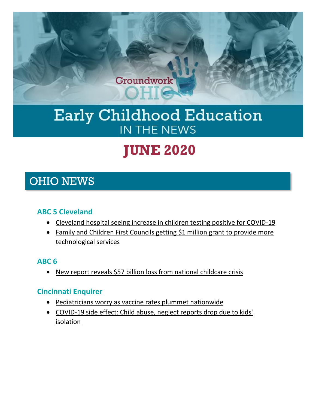

# Early Childhood Education IN THE NEWS

# **JUNE 2020**

# OHIO NEWS

# **ABC 5 Cleveland**

- [Cleveland hospital seeing increase in children testing positive for COVID-19](https://www.news5cleveland.com/news/continuing-coverage/coronavirus/cleveland-hospital-seeing-increase-in-children-testing-positive-for-covid-19)
- [Family and Children First Councils getting \\$1 million grant to provide more](https://www.news5cleveland.com/rebound/coronavirus-money-help/family-and-children-first-councils-getting-1-million-grant-to-provide-more-technological-services)  [technological services](https://www.news5cleveland.com/rebound/coronavirus-money-help/family-and-children-first-councils-getting-1-million-grant-to-provide-more-technological-services)

# **ABC 6**

• [New report reveals \\$57 billion loss from national childcare crisis](https://abc6onyourside.com/news/local/new-report-reveals-57-billion-loss-from-national-childcare-crisis)

# **Cincinnati Enquirer**

- [Pediatricians worry as vaccine rates plummet nationwide](https://www.cincinnati.com/story/news/2020/06/28/pediatric-vaccine-rates-plummet-nationwide/112021214/)
- [COVID-19 side effect: Child abuse, neglect reports drop due to kids'](https://www.cincinnati.com/story/news/2020/06/14/child-abuse-neglect-covid-19-coronavirus-calls-drop-ohio-hamilton-county/5261299002/)  [isolation](https://www.cincinnati.com/story/news/2020/06/14/child-abuse-neglect-covid-19-coronavirus-calls-drop-ohio-hamilton-county/5261299002/)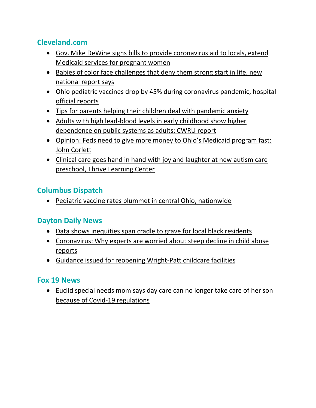# **Cleveland.com**

- [Gov. Mike DeWine signs bills to provide coronavirus aid to locals, extend](https://www.cleveland.com/open/2020/06/gov-mike-dewine-signs-bills-to-provide-coronavirus-aid-to-locals-extend-medicaid-services-for-pregnant-women.html)  [Medicaid services for pregnant women](https://www.cleveland.com/open/2020/06/gov-mike-dewine-signs-bills-to-provide-coronavirus-aid-to-locals-extend-medicaid-services-for-pregnant-women.html)
- [Babies of color face challenges that deny them strong start in life, new](https://www.cleveland.com/healthfit/2020/06/babies-of-color-face-challenges-that-deny-them-strong-start-in-life-new-national-report-says.html)  [national report says](https://www.cleveland.com/healthfit/2020/06/babies-of-color-face-challenges-that-deny-them-strong-start-in-life-new-national-report-says.html)
- [Ohio pediatric vaccines drop by 45% during coronavirus pandemic, hospital](https://www.cleveland.com/news/2020/06/ohio-pediatric-vaccines-drop-by-45-during-coronavirus-pandemic-hospital-official-reports.html)  [official reports](https://www.cleveland.com/news/2020/06/ohio-pediatric-vaccines-drop-by-45-during-coronavirus-pandemic-hospital-official-reports.html)
- [Tips for parents helping their children deal with pandemic anxiety](https://www.cleveland.com/community/2020/06/tips-for-parents-helping-their-children-dealing-with-pandemic-anxiety.html)
- [Adults with high lead-blood levels in early childhood show higher](https://www.cleveland.com/news/2020/06/adults-with-high-lead-blood-levels-in-early-childhood-show-higher-dependence-on-public-systems-as-adults-cwru-report.html)  [dependence on public systems as adults: CWRU report](https://www.cleveland.com/news/2020/06/adults-with-high-lead-blood-levels-in-early-childhood-show-higher-dependence-on-public-systems-as-adults-cwru-report.html)
- [Opinion: Feds need to give more money to Ohio's Medicaid program fast:](https://www.cleveland.com/opinion/2020/06/feds-need-to-give-more-money-to-ohios-medicaid-program-fast-john-corlett.html)  [John Corlett](https://www.cleveland.com/opinion/2020/06/feds-need-to-give-more-money-to-ohios-medicaid-program-fast-john-corlett.html)
- [Clinical care goes hand in hand with joy and laughter at new autism care](https://www.cleveland.com/community/2020/06/clinical-care-goes-hand-in-hand-with-joy-and-laughter-at-new-autism-care-preschool-thrive-learning-center.html)  [preschool, Thrive Learning Center](https://www.cleveland.com/community/2020/06/clinical-care-goes-hand-in-hand-with-joy-and-laughter-at-new-autism-care-preschool-thrive-learning-center.html)

# **Columbus Dispatch**

• [Pediatric vaccine rates plummet in central Ohio, nationwide](https://www.dispatch.com/news/20200622/pediatric-vaccine-rates-plummet-in-central-ohio-nationwide)

# **Dayton Daily News**

- [Data shows inequities span cradle to grave for local black residents](https://www.daytondailynews.com/news/local/data-shows-inequities-span-cradle-grave-for-local-black-residents/bMFodC4xhIVGWBdiHrWYqJ/)
- [Coronavirus: Why experts are worried about steep decline in child abuse](https://www.daytondailynews.com/news/crime--law/coronavirus-why-experts-are-worried-about-steep-decline-child-abuse-reports/y02d9sk2TTylSUMGhMYQEK/)  [reports](https://www.daytondailynews.com/news/crime--law/coronavirus-why-experts-are-worried-about-steep-decline-child-abuse-reports/y02d9sk2TTylSUMGhMYQEK/)
- [Guidance issued for reopening Wright-Patt childcare facilities](https://www.daytondailynews.com/news/local/guidance-issued-for-reopening-wright-patt-childcare-facilities/RCHM8HOtT7JIjlku06E4qI/)

# **Fox 19 News**

• [Euclid special needs mom says day care can no longer take care of her son](https://www.cleveland19.com/2020/06/03/euclid-special-needs-mom-says-day-care-can-no-longer-take-care-her-son-because-covid-regulations/)  [because of Covid-19 regulations](https://www.cleveland19.com/2020/06/03/euclid-special-needs-mom-says-day-care-can-no-longer-take-care-her-son-because-covid-regulations/)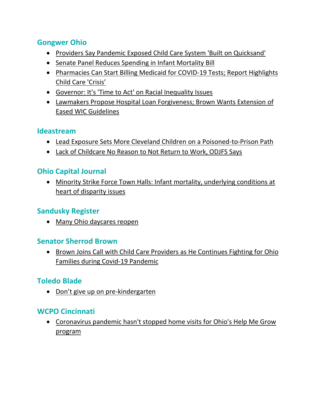# **Gongwer Ohio**

- [Providers Say Pandemic Exposed Child Care System 'Built on Quicksand'](https://www.gongwer-oh.com/programming/news.cfm?article_ID=891300205)
- [Senate Panel Reduces Spending in Infant Mortality Bill](https://www.gongwer-oh.com/programming/news.cfm?article_ID=891170209)
- [Pharmacies Can Start Billing Medicaid for COVID-19 Tests; Report Highlights](https://www.gongwer-oh.com/programming/news.cfm?article_ID=891320210)  [Child Care 'Crisis'](https://www.gongwer-oh.com/programming/news.cfm?article_ID=891320210)
- [Governor: It's 'Time to Act' on Racial Inequality Issues](https://www.gongwer-oh.com/programming/news.cfm?article_ID=891120202)
- [Lawmakers Propose Hospital Loan Forgiveness; Brown Wants Extension of](https://www.gongwer-oh.com/programming/news.cfm?article_ID=891270207)  [Eased WIC Guidelines](https://www.gongwer-oh.com/programming/news.cfm?article_ID=891270207)

#### **Ideastream**

- [Lead Exposure Sets More Cleveland Children on a](https://www.ideastream.org/news/lead-exposure-sets-more-cleveland-children-on-a-poisoned-to-prison-path) Poisoned-to-Prison Path
- [Lack of Childcare No Reason to Not Return to Work, ODJFS Says](https://www.ideastream.org/news/lack-of-childcare-no-reason-to-not-return-to-work-odjfs-says)

#### **Ohio Capital Journal**

• [Minority Strike Force Town Halls: Infant mortality, underlying conditions at](https://ohiocapitaljournal.com/2020/06/09/minority-strike-force-town-halls-infant-mortality-underlying-conditions-at-heart-of-disparity-issues/)  [heart of disparity issues](https://ohiocapitaljournal.com/2020/06/09/minority-strike-force-town-halls-infant-mortality-underlying-conditions-at-heart-of-disparity-issues/)

#### **Sandusky Register**

• [Many Ohio daycares reopen](https://sanduskyregister.com/news/246724/many-ohio-daycares-reopen/)

#### **Senator Sherrod Brown**

• [Brown Joins Call with Child Care Providers as He Continues Fighting for Ohio](https://www.brown.senate.gov/newsroom/press/release/brown-joins-call-with-child-care-providers-ohio-families-covid-19-pandemic)  [Families during Covid-19 Pandemic](https://www.brown.senate.gov/newsroom/press/release/brown-joins-call-with-child-care-providers-ohio-families-covid-19-pandemic)

# **Toledo Blade**

• [Don't give up on pre](https://www.toledoblade.com/editorials/2020/06/08/dont-give-up-on-pre-kindergarten)-kindergarten

#### **WCPO Cincinnati**

• [Coronavirus pandemic hasn't stopped home visits for Ohio's Help Me Grow](https://www.wcpo.com/news/coronavirus/coronavirus-pandemic-hasnt-stopped-home-visits-for-ohios-help-me-grow-program)  [program](https://www.wcpo.com/news/coronavirus/coronavirus-pandemic-hasnt-stopped-home-visits-for-ohios-help-me-grow-program)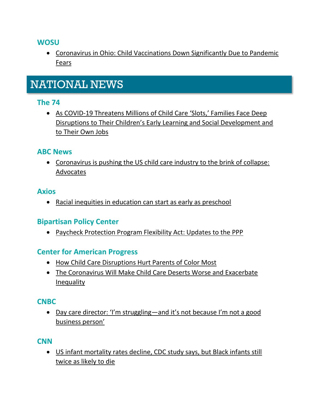#### **WOSU**

• Coronavirus in [Ohio: Child Vaccinations Down Significantly Due to](https://radio.wosu.org/post/coronavirus-ohio-child-vaccinations-down-significantly-due-pandemic-fears#stream/0) Pandemic [Fears](https://radio.wosu.org/post/coronavirus-ohio-child-vaccinations-down-significantly-due-pandemic-fears#stream/0)

# NATIONAL NEWS

#### **The 74**

• [As COVID-19 Threatens Millions of Child Car](https://www.the74million.org/article/as-covid-19-threatens-millions-of-child-care-slots-families-face-deep-disruptions-to-their-childrens-early-learning-and-social-development-and-to-their-own-jobs/)e 'Slots,' Families Face Deep [Disruptions to Their Children's Early Learning and Social Development and](https://www.the74million.org/article/as-covid-19-threatens-millions-of-child-care-slots-families-face-deep-disruptions-to-their-childrens-early-learning-and-social-development-and-to-their-own-jobs/)  [to Their Own Jobs](https://www.the74million.org/article/as-covid-19-threatens-millions-of-child-care-slots-families-face-deep-disruptions-to-their-childrens-early-learning-and-social-development-and-to-their-own-jobs/)

#### **ABC News**

• [Coronavirus is pushing the US child care industry to the brink of collapse:](https://abcnews.go.com/Politics/coronavirus-pushing-us-child-care-industry-brink-collapse/story?id=71353735)  [Advocates](https://abcnews.go.com/Politics/coronavirus-pushing-us-child-care-industry-brink-collapse/story?id=71353735)

#### **Axios**

• [Racial inequities in education can start as early as preschool](https://www.axios.com/racial-inequities-education-preschool-5e846c20-4fad-4396-a106-d22ed75974ae.html)

#### **Bipartisan Policy Center**

• [Paycheck Protection Program Flexibility Act: Updates to the PPP](https://bipartisanpolicy.org/blog/paycheck-protection-program-flexibility-act-updates-to-the-ppp/)

#### **Center for American Progress**

- [How Child Care Disruptions Hurt Parents of Color Most](https://www.americanprogress.org/issues/early-childhood/news/2020/06/29/486977/child-care-disruptions-hurt-parents-color/)
- [The Coronavirus Will Make Child Care Deserts Worse and Exacerbate](https://www.americanprogress.org/issues/early-childhood/reports/2020/06/22/486433/coronavirus-will-make-child-care-deserts-worse-exacerbate-inequality/)  [Inequality](https://www.americanprogress.org/issues/early-childhood/reports/2020/06/22/486433/coronavirus-will-make-child-care-deserts-worse-exacerbate-inequality/)

#### **CNBC**

• [Day care director: 'I'm struggling—and it's not because I'm not a good](https://www.cnbc.com/2020/06/03/director-of-nc-based-day-care-and-preschool-says-i-am-struggling.html)  [business person'](https://www.cnbc.com/2020/06/03/director-of-nc-based-day-care-and-preschool-says-i-am-struggling.html)

#### **CNN**

• [US infant mortality rates decline, CDC study says, but Black infants still](https://www.cnn.com/2020/06/25/health/age-women-birth-rising-wellness/index.html)  [twice as likely to die](https://www.cnn.com/2020/06/25/health/age-women-birth-rising-wellness/index.html)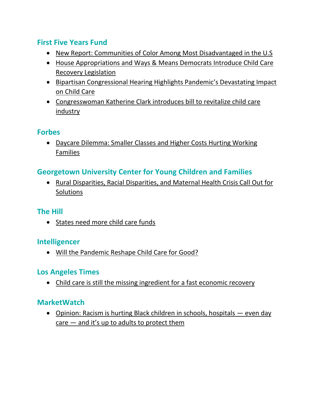# **First Five Years Fund**

- [New Report: Communities of Color Among Most Disadvantaged in the U.S](https://www.ffyf.org/new-report-communities-of-color-among-most-disadvantaged-in-the-u-s/)
- [House Appropriations and Ways & Means Democrats Introduce Child Care](https://www.ffyf.org/house-appropriations-and-ways-means-democrats-introduce-child-care-recovery-legislation/)  [Recovery Legislation](https://www.ffyf.org/house-appropriations-and-ways-means-democrats-introduce-child-care-recovery-legislation/)
- [Bipartisan Congressional Hearing Highlights Pandemic's Devastating Impact](https://www.ffyf.org/bipartisan-congressional-hearing-highlights-pandemics-devastating-impact-on-child-care/)  [on Child Care](https://www.ffyf.org/bipartisan-congressional-hearing-highlights-pandemics-devastating-impact-on-child-care/)
- [Congresswoman Katherine Clark introduces bill to](https://www.ffyf.org/congresswoman-katherine-clark-introduces-bill-to-revitalize-child-care-industry/) revitalize child care [industry](https://www.ffyf.org/congresswoman-katherine-clark-introduces-bill-to-revitalize-child-care-industry/)

# **Forbes**

• [Daycare Dilemma: Smaller Classes and](https://www.forbes.com/sites/robertfarrington/2020/06/24/daycare-dilemma-smaller-classes-and-higher-costs-hurting-working-families/#14ae861934a0) Higher Costs Hurting Working [Families](https://www.forbes.com/sites/robertfarrington/2020/06/24/daycare-dilemma-smaller-classes-and-higher-costs-hurting-working-families/#14ae861934a0)

# **Georgetown University Center for Young Children and Families**

• [Rural Disparities, Racial Disparities, and Maternal Health Crisis Call Out for](https://ccf.georgetown.edu/2020/06/12/rural-disparities-racial-disparities-and-maternal-health-crisis-call-out-for-solutions/)  **[Solutions](https://ccf.georgetown.edu/2020/06/12/rural-disparities-racial-disparities-and-maternal-health-crisis-call-out-for-solutions/)** 

#### **The Hill**

• [States need more child care funds](https://thehill.com/opinion/civil-rights/501421-states-need-more-child-care-funds)

# **Intelligencer**

• [Will the Pandemic Reshape Child Care for Good?](https://nymag.com/intelligencer/2020/06/childcare-workers-need-help-fast-so-do-parents.html)

# **Los Angeles Times**

• [Child care is still the missing ingredient for a fast economic recovery](https://www.latimes.com/politics/story/2020-06-08/lack-of-childcare-options-missing-ingredient-fast-economic-recovery?_amp=true)

# **MarketWatch**

• [Opinion: Racism is hurting Black children in schools, hospitals](https://www.marketwatch.com/story/racism-is-hurting-black-children-in-schools-day-care-even-hospitals-and-its-up-to-adults-to-protect-them-2020-06-29) — even day  $care - and it's up to adults to protect them$  $care - and it's up to adults to protect them$